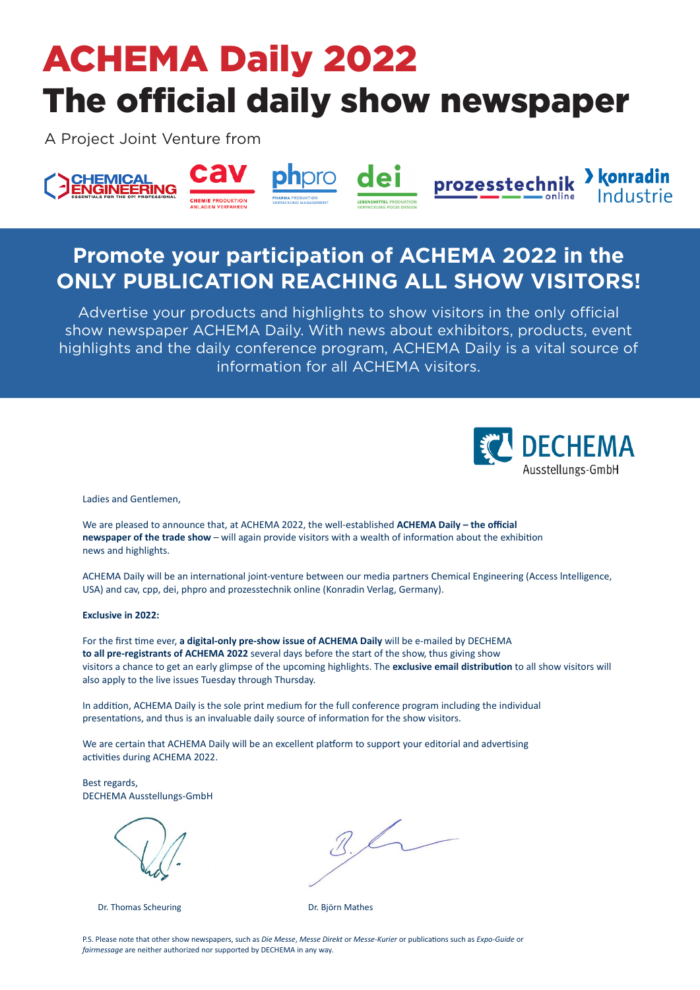# ACHEMA Daily 2022 The official daily show newspaper

A Project Joint Venture from



## **Promote your participation of ACHEMA 2022 in the ONLY PUBLICATION REACHING ALL SHOW VISITORS!**

Advertise your products and highlights to show visitors in the only official show newspaper ACHEMA Daily. With news about exhibitors, products, event highlights and the daily conference program, ACHEMA Daily is a vital source of information for all ACHEMA visitors.



Ladies and Gentlemen, Ladies and Gentlemen,

We are pleased to announce that, at ACHEMA 2022, the well-established **ACHEMA Daily – the official** we are pleased to announce that, at ACHEMA 2022, the well-established **ACHEMA Daily** – the official **newspaper of the trade show** – will again provide visitors with a wealth of information about the exhibition news and highlights. **Exclusive in 2022:**  news and highlights. We are pleased to announce that, at ACHEMIA 2022, the Well-established **ACHEMIA D newspaper of the trade show –** will again provide visitors with a wealth of information about the exh

ACHEMA Daily will be an international joint-venture between our media partners Chemical Engineering (Access Intelligence, USA) and cav, cpp, dei, phpro and prozesstechnik online (Konradin Verlag, Germany).

#### **Exclusive in 2022: Exclusive in 2022:**  visitors a chance to get an early glimpse of the upcoming highlights. The **exclusive email distribuDon** to all show visitors will  $\alpha$  also apply to the live is  $\alpha$

**to all pre-registrants of ACHEMA 2022** several days before the start of the show, thus giving show visitors. also apply to the live issues Tuesday through Thursday. For the first time ever, a digital-only pre-show issue of ACHEMA Daily will be e-mailed by DECHEMA visitors a chance to get an early glimpse of the upcoming highlights. The **exclusive email distribution** to all show visitors will For the first Cme ever, **a digital-only pre-show issue of ACHEMA Daily** will be e-mailed by DECHEMA the maturities of **a district pre-registration** 2022 of ACHEMA 2023 will be condition by **If pre-registratits of ACHEMA 2022** several days before the start of the show, thus giving show

In addition, ACHEMA Daily is the sole print medium for the full conference program including the individual presentations, and thus is an invaluable daily source of information for the show visitors.

We are certain that ACHEMA Daily will be an excellent platform to support your editorial and advertising activities during ACHEMA 2022.

For the first Cme ever, **a digital-only pre-show issue of ACHEMA Daily** will be e-mailed by DECHEMA DECHEMA Ausstellungs-GmbH Best regards, DECHEMA Ausstellungs-GmbH

 $\left( \begin{array}{ccc} \n\end{array} \right)$  and  $\left( \begin{array}{ccc} \n\end{array} \right)$ Dr. Thomas Scheuring Dr. Björn Mathes

Dr. Thomas Scheuring **Achemica 2022.** Dr. Björn Mathes

visitors a chance to get an early glimpse of the upcoming highlights. The **exclusive email distribuDon** to all show visitors will  $\frac{1}{\sqrt{2}}$ presentaCons, and thus is an invaluable daily source of informaCon for the show visitors.

ase note that other show newspap fairmessage are neither authorized nor supported by DECHEMA in any way. P.S. Please note that other show newspapers, such as *Die Messe, Messe Direkt* or *Messe-Kurier* or publications such as *Expo-Guide* or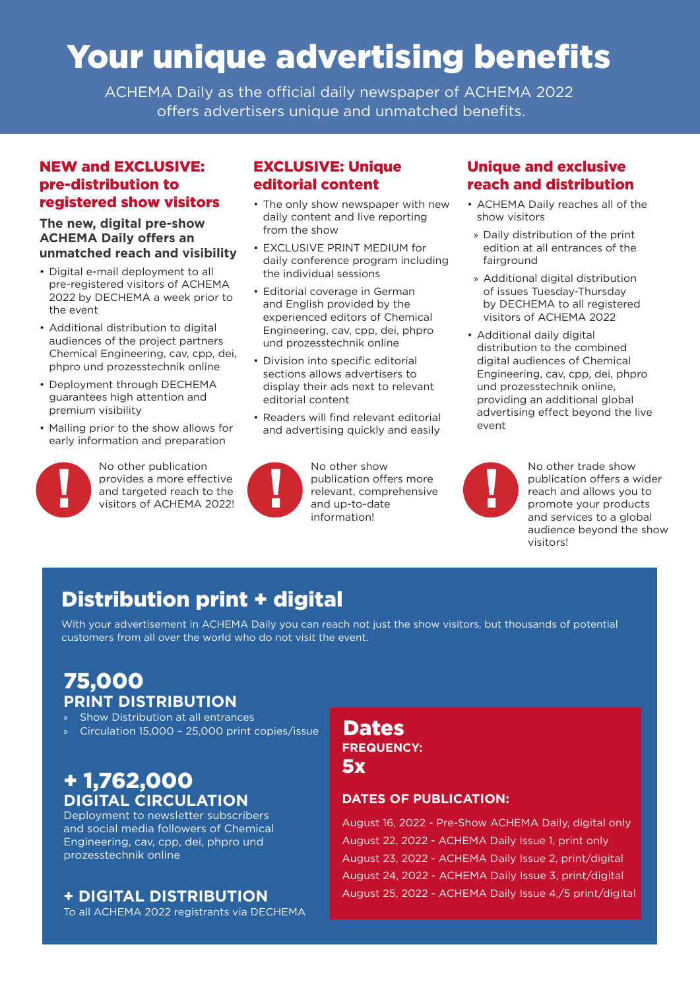# Your unique advertising benefits

ACHEMA Daily as the official daily newspaper of ACHEMA 2022 offers advertisers unique and unmatched benefits.

### NEW and EXCLUSIVE: pre-distribution to registered show visitors

#### **The new, digital pre-show ACHEMA Daily offers an unmatched reach and visibility**

- Digital e-mail deployment to all pre-registered visitors of ACHEMA 2022 by DECHEMA a week prior to the event
- Additional distribution to digital audiences of the project partners Chemical Engineering, cav, cpp, dei, phpro und prozesstechnik online
- Deployment through DECHEMA guarantees high attention and premium visibility
- Mailing prior to the show allows for early information and preparation



No other publication provides a more effective and targeted reach to the visitors of ACHEMA 2022!

## EXCLUSIVE: Unique editorial content

- The only show newspaper with new daily content and live reporting from the show
- EXCLUSIVE PRINT MEDIUM for daily conference program including the individual sessions
- Editorial coverage in German and English provided by the experienced editors of Chemical Engineering, cav, cpp, dei, phpro und prozesstechnik online
- Division into specific editorial sections allows advertisers to display their ads next to relevant editorial content
- Readers will find relevant editorial and advertising quickly and easily



No other show publication offers more relevant, comprehensive and up-to-date information! provides a more effective<br>and targeted reach to the<br>visitors of ACHEMA 2022!<br>information

### Unique and exclusive reach and distribution

- ACHEMA Daily reaches all of the show visitors
- » Daily distribution of the print edition at all entrances of the fairground
- » Additional digital distribution of issues Tuesday-Thursday by DECHEMA to all registered visitors of ACHEMA 2022
- Additional daily digital distribution to the combined digital audiences of Chemical Engineering, cav, cpp, dei, phpro und prozesstechnik online, providing an additional global advertising effect beyond the live event



No other trade show publication offers a wider reach and allows you to promote your products and services to a global audience beyond the show visitors!

## Distribution print + digital

With your advertisement in ACHEMA Daily you can reach not just the show visitors, but thousands of potential customers from all over the world who do not visit the event.

## 75,000 **PRINT DISTRIBUTION**

- Show Distribution at all entrances
- » Circulation 15,000 25,000 print copies/issue

## + 1,762,000 **DIGITAL CIRCULATION**

Deployment to newsletter subscribers and social media followers of Chemical Engineering, cav, cpp, dei, phpro und prozesstechnik online

## **+ DIGITAL DISTRIBUTION**

To all ACHEMA 2022 registrants via DECHEMA

## **FREQUENCY:** 5x Dates

### **DATES OF PUBLICATION:**

August 16, 2022 - Pre-Show ACHEMA Daily, digital only August 22, 2022 - ACHEMA Daily Issue 1, print only August 23, 2022 - ACHEMA Daily Issue 2, print/digital August 24, 2022 - ACHEMA Daily Issue 3, print/digital August 25, 2022 - ACHEMA Daily Issue 4,/5 print/digital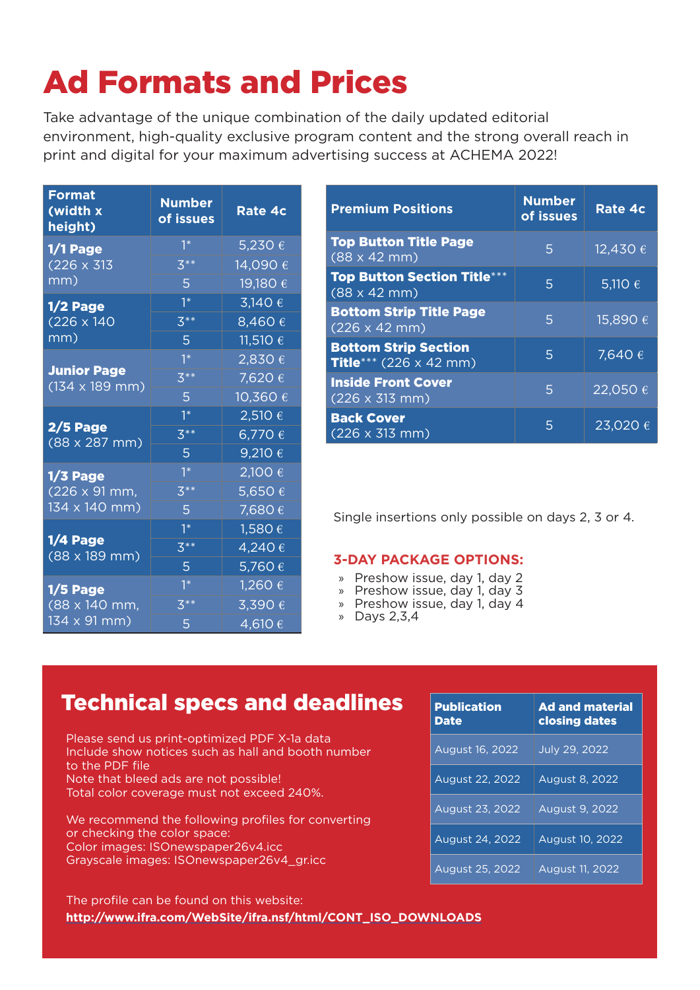# Ad Formats and Prices

Take advantage of the unique combination of the daily updated editorial environment, high-quality exclusive program content and the strong overall reach in print and digital for your maximum advertising success at ACHEMA 2022!

| <b>Format</b><br>(width x<br><u>height)</u>                          | <b>Number</b><br>of issues | Rate 4c        |
|----------------------------------------------------------------------|----------------------------|----------------|
| 1/1 Page<br>$(226 \times 313)$<br>mm)                                | $1^*$                      | <u>5,230 €</u> |
|                                                                      | $3**$                      | 14,090€        |
|                                                                      | 5.                         | 19,180 €       |
| 1/2 Page<br>$(226 \times 140)$<br>mm)                                | $1^*$                      | 3,140 €        |
|                                                                      | $\overline{3^{**}}$        | 8,460€         |
|                                                                      | 5 <sup>1</sup>             | 11,510 €       |
| <b>Junior Page</b><br>$(134 \times 189 \text{ mm})$                  | $1^*$                      | 2,830€         |
|                                                                      | $3**$                      | 7,620€         |
|                                                                      | 5 <sup>1</sup>             | 10,360 €       |
| 2/5 Page<br>(88 x 287 mm)                                            | $1*$                       | 2,510 €        |
|                                                                      | $3**$                      | 6,770€         |
|                                                                      | 5 <sup>1</sup>             | 9,210 €        |
| $1/3$ Page<br>$(226 \times 91 \text{ mm})$<br>134 x 140 mm)          | $1*$                       | 2,100 €        |
|                                                                      | $3**$                      | 5,650€         |
|                                                                      | 5                          | 7,680€         |
| 1/4 Page<br>$(88 \times 189 \text{ mm})$                             | $1*$                       | 1,580€         |
|                                                                      | $3**$                      | 4,240€         |
|                                                                      | 5 <sup>1</sup>             | 5,760€         |
| $1/5$ Page<br><u>(88 x 140 mm,</u><br>$134 \times 91 \, \text{mm}$ ) | $1^*$                      | 1,260 €        |
|                                                                      | $3**$                      | 3,390 €        |
|                                                                      | 5                          | 4,610€         |

| <b>Premium Positions</b>                                                     | <b>Number</b><br>of issues | <b>Rate 4c</b>              |
|------------------------------------------------------------------------------|----------------------------|-----------------------------|
| <b>Top Button Title Page</b><br>$(88 \times 42 \text{ mm})$                  | 5                          | $\sqrt{12,430}$ $\in$       |
| <b>Top Button Section Title***</b><br>$(88 \times 42 \text{ mm})$            | 5                          | 5,110 $\overline{\epsilon}$ |
| <b>Bottom Strip Title Page</b><br>$(226 \times 42 \text{ mm})$               | 5                          | 15,890€                     |
| <b>Bottom Strip Section</b><br><b>Title</b> *** $(226 \times 42 \text{ mm})$ | 5                          | 7,640 €                     |
| <b>Inside Front Cover</b><br>$(226 \times 313 \text{ mm})$                   | 5                          | 22,050€                     |
| <b>Back Cover</b><br>$(226 \times 313 \text{ mm})$                           | 5                          | 23,020 €                    |

Single insertions only possible on days 2, 3 or 4.

#### **3-DAY PACKAGE OPTIONS:**

- » Preshow issue, day 1, day 2
- » Preshow issue, day 1, day 3
- » Preshow issue, day 1, day 4
- » Days 2,3,4

## **Technical specs and deadlines**

Please send us print-optimized PDF X-1a data Include show notices such as hall and booth number to the PDF file Note that bleed ads are not possible! Total color coverage must not exceed 240%.

We recommend the following profiles for converting or checking the color space: Color images: ISOnewspaper26v4.icc Grayscale images: ISOnewspaper26v4\_gr.icc

| <b>Publication</b><br><b>Date</b> | <b>Ad and material</b><br>closing dates |
|-----------------------------------|-----------------------------------------|
| <b>August 16, 2022</b>            | <b>July 29, 2022</b>                    |
| August 22, 2022                   | <b>August 8, 2022</b>                   |
| August 23, 2022                   | <b>August 9, 2022</b>                   |
| August 24, 2022                   | August 10, 2022                         |
| <b>August 25, 2022</b>            | August 11, 2022                         |

**http://www.ifra.com/WebSite/ifra.nsf/html/CONT\_ISO\_DOWNLOADS** The profile can be found on this website: